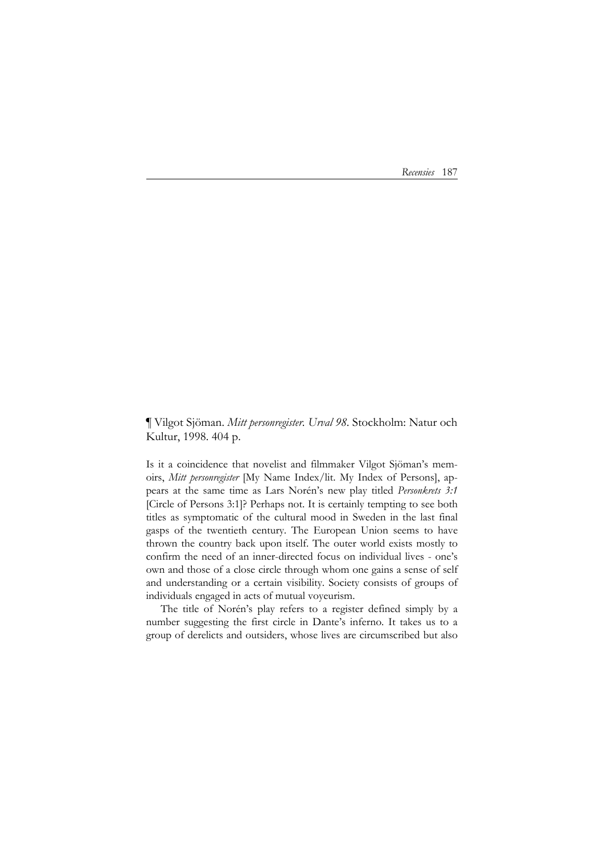*Recensies* 187

¶ Vilgot Sjöman. *Mitt personregister. Urval 98*. Stockholm: Natur och Kultur, 1998. 404 p.

Is it a coincidence that novelist and filmmaker Vilgot Sjöman's memoirs, *Mitt personregister* [My Name Index/lit. My Index of Persons], appears at the same time as Lars Norén's new play titled *Personkrets 3:1* [Circle of Persons 3:1]? Perhaps not. It is certainly tempting to see both titles as symptomatic of the cultural mood in Sweden in the last final gasps of the twentieth century. The European Union seems to have thrown the country back upon itself. The outer world exists mostly to confirm the need of an inner-directed focus on individual lives - one's own and those of a close circle through whom one gains a sense of self and understanding or a certain visibility. Society consists of groups of individuals engaged in acts of mutual voyeurism.

 The title of Norén's play refers to a register defined simply by a number suggesting the first circle in Dante's inferno. It takes us to a group of derelicts and outsiders, whose lives are circumscribed but also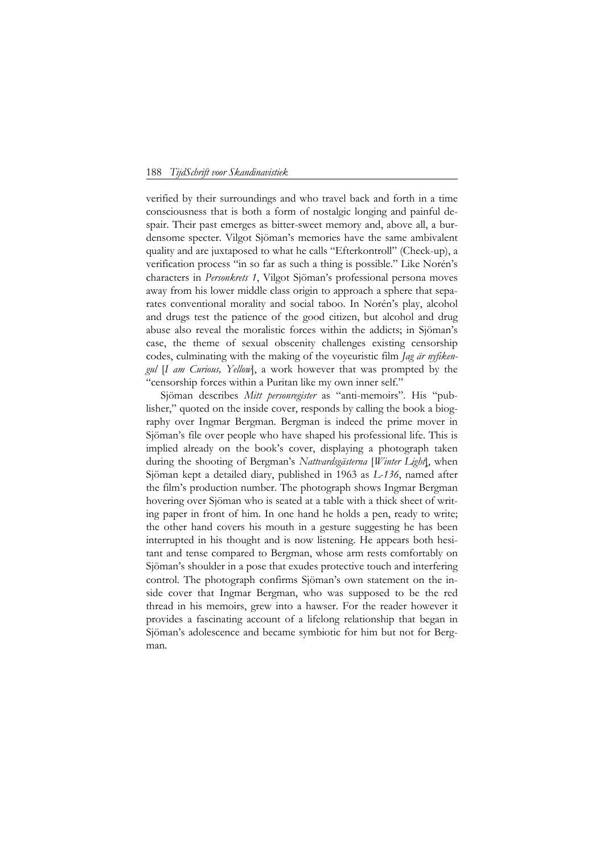## 188 *TijdSchrift voor Skandinavistiek*

verified by their surroundings and who travel back and forth in a time consciousness that is both a form of nostalgic longing and painful despair. Their past emerges as bitter-sweet memory and, above all, a burdensome specter. Vilgot Sjöman's memories have the same ambivalent quality and are juxtaposed to what he calls "Efterkontroll" (Check-up), a verification process "in so far as such a thing is possible." Like Norén's characters in *Personkrets 1*, Vilgot Sjöman's professional persona moves away from his lower middle class origin to approach a sphere that separates conventional morality and social taboo. In Norén's play, alcohol and drugs test the patience of the good citizen, but alcohol and drug abuse also reveal the moralistic forces within the addicts; in Sjöman's case, the theme of sexual obscenity challenges existing censorship codes, culminating with the making of the voyeuristic film *Jag är nyfikengul* [*I am Curious, Yellow*], a work however that was prompted by the "censorship forces within a Puritan like my own inner self."

Sjöman describes *Mitt personregister* as "anti-memoirs". His "publisher," quoted on the inside cover, responds by calling the book a biography over Ingmar Bergman. Bergman is indeed the prime mover in Sjöman's file over people who have shaped his professional life. This is implied already on the book's cover, displaying a photograph taken during the shooting of Bergman's *Nattvardsgästerna* [*Winter Light*], when Sjöman kept a detailed diary, published in 1963 as *L-136*, named after the film's production number. The photograph shows Ingmar Bergman hovering over Sjöman who is seated at a table with a thick sheet of writing paper in front of him. In one hand he holds a pen, ready to write; the other hand covers his mouth in a gesture suggesting he has been interrupted in his thought and is now listening. He appears both hesitant and tense compared to Bergman, whose arm rests comfortably on Sjöman's shoulder in a pose that exudes protective touch and interfering control. The photograph confirms Sjöman's own statement on the inside cover that Ingmar Bergman, who was supposed to be the red thread in his memoirs, grew into a hawser. For the reader however it provides a fascinating account of a lifelong relationship that began in Sjöman's adolescence and became symbiotic for him but not for Bergman.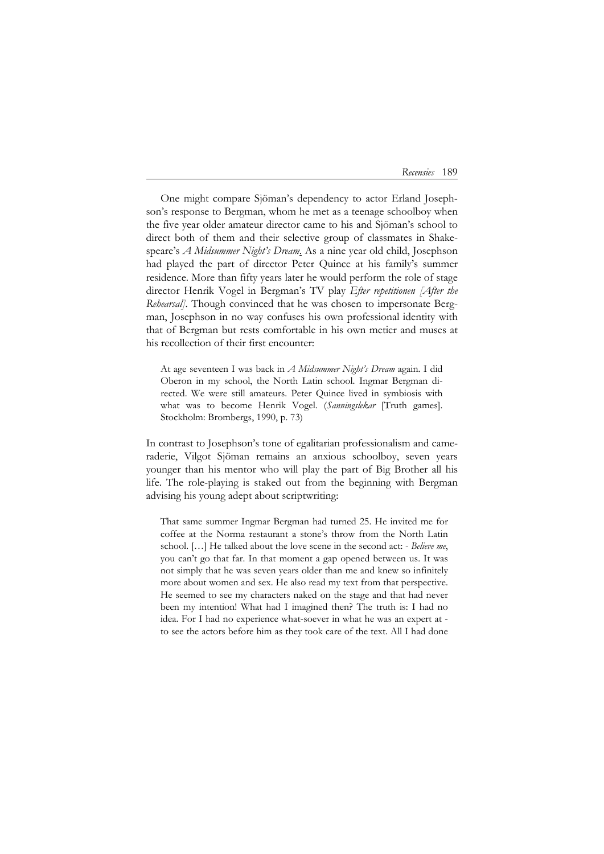| Recensies | 189 |
|-----------|-----|
|-----------|-----|

One might compare Sjöman's dependency to actor Erland Josephson's response to Bergman, whom he met as a teenage schoolboy when the five year older amateur director came to his and Sjöman's school to direct both of them and their selective group of classmates in Shakespeare's *A Midsummer Night's Dream*. As a nine year old child, Josephson had played the part of director Peter Quince at his family's summer residence. More than fifty years later he would perform the role of stage director Henrik Vogel in Bergman's TV play *Efter repetitionen [After the Rehearsal]*. Though convinced that he was chosen to impersonate Bergman, Josephson in no way confuses his own professional identity with that of Bergman but rests comfortable in his own metier and muses at his recollection of their first encounter:

At age seventeen I was back in *A Midsummer Night's Dream* again. I did Oberon in my school, the North Latin school. Ingmar Bergman directed. We were still amateurs. Peter Quince lived in symbiosis with what was to become Henrik Vogel. (*Sanningslekar* [Truth games]. Stockholm: Brombergs, 1990, p. 73)

In contrast to Josephson's tone of egalitarian professionalism and cameraderie, Vilgot Sjöman remains an anxious schoolboy, seven years younger than his mentor who will play the part of Big Brother all his life. The role-playing is staked out from the beginning with Bergman advising his young adept about scriptwriting:

That same summer Ingmar Bergman had turned 25. He invited me for coffee at the Norma restaurant a stone's throw from the North Latin school. […] He talked about the love scene in the second act: - *Believe me*, you can't go that far. In that moment a gap opened between us. It was not simply that he was seven years older than me and knew so infinitely more about women and sex. He also read my text from that perspective. He seemed to see my characters naked on the stage and that had never been my intention! What had I imagined then? The truth is: I had no idea. For I had no experience what-soever in what he was an expert at to see the actors before him as they took care of the text. All I had done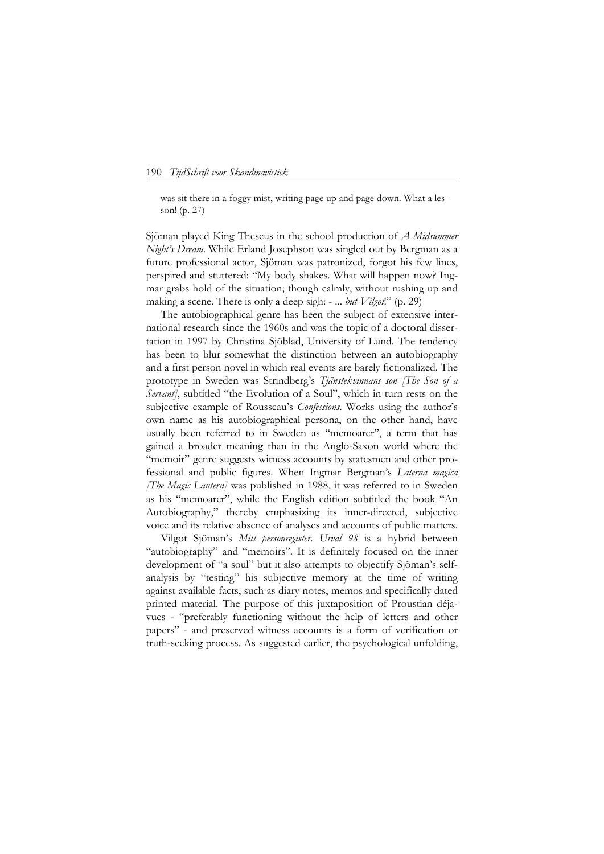## 190 *TijdSchrift voor Skandinavistiek*

was sit there in a foggy mist, writing page up and page down. What a lesson! (p. 27)

Sjöman played King Theseus in the school production of *A Midsummer Night's Dream*. While Erland Josephson was singled out by Bergman as a future professional actor, Sjöman was patronized, forgot his few lines, perspired and stuttered: "My body shakes. What will happen now? Ingmar grabs hold of the situation; though calmly, without rushing up and making a scene. There is only a deep sigh: - ... *but Vilgot*!" (p. 29)

The autobiographical genre has been the subject of extensive international research since the 1960s and was the topic of a doctoral dissertation in 1997 by Christina Sjöblad, University of Lund. The tendency has been to blur somewhat the distinction between an autobiography and a first person novel in which real events are barely fictionalized. The prototype in Sweden was Strindberg's *Tjänstekvinnans son [The Son of a*  Servant], subtitled "the Evolution of a Soul", which in turn rests on the subjective example of Rousseau's *Confessions*. Works using the author's own name as his autobiographical persona, on the other hand, have usually been referred to in Sweden as "memoarer", a term that has gained a broader meaning than in the Anglo-Saxon world where the "memoir" genre suggests witness accounts by statesmen and other professional and public figures. When Ingmar Bergman's *Laterna magica [The Magic Lantern]* was published in 1988, it was referred to in Sweden as his "memoarer", while the English edition subtitled the book "An Autobiography," thereby emphasizing its inner-directed, subjective voice and its relative absence of analyses and accounts of public matters.

 Vilgot Sjöman's *Mitt personregister. Urval 98* is a hybrid between "autobiography" and "memoirs". It is definitely focused on the inner development of "a soul" but it also attempts to objectify Sjöman's selfanalysis by "testing" his subjective memory at the time of writing against available facts, such as diary notes, memos and specifically dated printed material. The purpose of this juxtaposition of Proustian déjavues - "preferably functioning without the help of letters and other papers" - and preserved witness accounts is a form of verification or truth-seeking process. As suggested earlier, the psychological unfolding,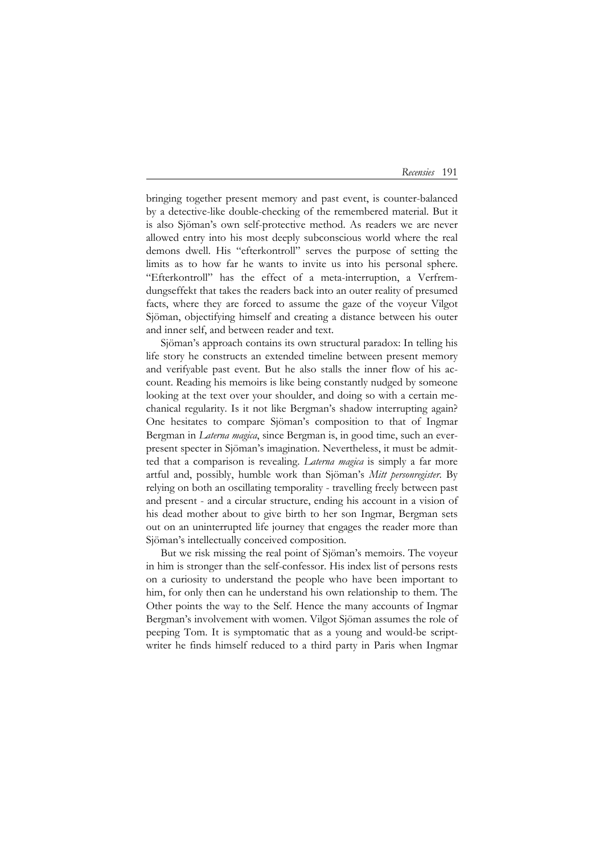## *Recensies* 191

bringing together present memory and past event, is counter-balanced by a detective-like double-checking of the remembered material. But it is also Sjöman's own self-protective method. As readers we are never allowed entry into his most deeply subconscious world where the real demons dwell. His "efterkontroll" serves the purpose of setting the limits as to how far he wants to invite us into his personal sphere. "Efterkontroll" has the effect of a meta-interruption, a Verfremdungseffekt that takes the readers back into an outer reality of presumed facts, where they are forced to assume the gaze of the voyeur Vilgot Sjöman, objectifying himself and creating a distance between his outer and inner self, and between reader and text.

 Sjöman's approach contains its own structural paradox: In telling his life story he constructs an extended timeline between present memory and verifyable past event. But he also stalls the inner flow of his account. Reading his memoirs is like being constantly nudged by someone looking at the text over your shoulder, and doing so with a certain mechanical regularity. Is it not like Bergman's shadow interrupting again? One hesitates to compare Sjöman's composition to that of Ingmar Bergman in *Laterna magica*, since Bergman is, in good time, such an everpresent specter in Sjöman's imagination. Nevertheless, it must be admitted that a comparison is revealing. *Laterna magica* is simply a far more artful and, possibly, humble work than Sjöman's *Mitt personregister*. By relying on both an oscillating temporality - travelling freely between past and present - and a circular structure, ending his account in a vision of his dead mother about to give birth to her son Ingmar, Bergman sets out on an uninterrupted life journey that engages the reader more than Sjöman's intellectually conceived composition.

 But we risk missing the real point of Sjöman's memoirs. The voyeur in him is stronger than the self-confessor. His index list of persons rests on a curiosity to understand the people who have been important to him, for only then can he understand his own relationship to them. The Other points the way to the Self. Hence the many accounts of Ingmar Bergman's involvement with women. Vilgot Sjöman assumes the role of peeping Tom. It is symptomatic that as a young and would-be scriptwriter he finds himself reduced to a third party in Paris when Ingmar